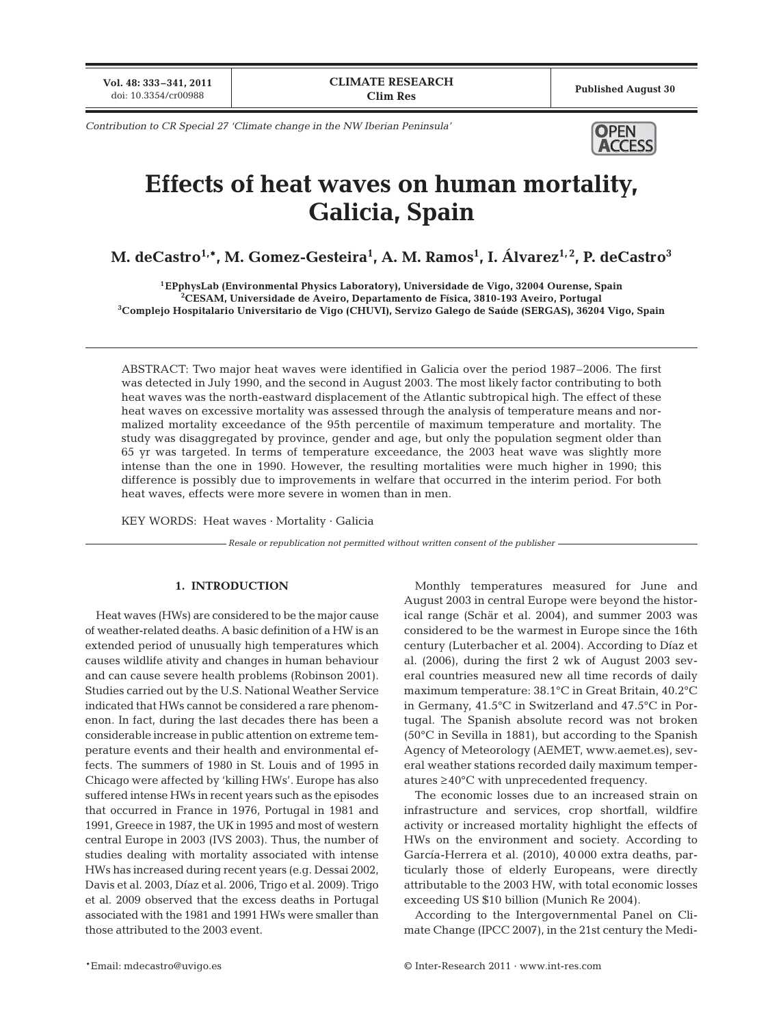**Vol. 48: 333–341, 2011**

*Contribution to CR Special 27 'Climate change in the NW Iberian Peninsula'* **OPEN** 



# **Effects of heat waves on human mortality, Galicia, Spain**

**M. deCastro1,\*, M. Gomez-Gesteira1 , A. M. Ramos1 , I. Álvarez1, 2, P. deCastro3**

**1EPphysLab (Environmental Physics Laboratory), Universidade de Vigo, 32004 Ourense, Spain 2 CESAM, Universidade de Aveiro, Departamento de Física, 3810-193 Aveiro, Portugal 3 Complejo Hospitalario Universitario de Vigo (CHUVI), Servizo Galego de Saúde (SERGAS), 36204 Vigo, Spain**

ABSTRACT: Two major heat waves were identified in Galicia over the period 1987–2006. The first was detected in July 1990, and the second in August 2003. The most likely factor contributing to both heat waves was the north-eastward displacement of the Atlantic subtropical high. The effect of these heat waves on excessive mortality was assessed through the analysis of temperature means and normalized mortality exceedance of the 95th percentile of maximum temperature and mortality. The study was disaggregated by province, gender and age, but only the population segment older than 65 yr was targeted. In terms of temperature exceedance, the 2003 heat wave was slightly more intense than the one in 1990. However, the resulting mortalities were much higher in 1990; this difference is possibly due to improvements in welfare that occurred in the interim period. For both heat waves, effects were more severe in women than in men.

KEY WORDS: Heat waves · Mortality · Galicia

*Resale or republication not permitted without written consent of the publisher*

## **1. INTRODUCTION**

Heat waves (HWs) are considered to be the major cause of weather-related deaths. A basic definition of a HW is an extended period of unusually high temperatures which causes wildlife ativity and changes in human behaviour and can cause severe health problems (Robinson 2001). Studies carried out by the U.S. National Weather Service indicated that HWs cannot be considered a rare phenomenon. In fact, during the last decades there has been a considerable increase in public attention on extreme temperature events and their health and environmental effects. The summers of 1980 in St. Louis and of 1995 in Chicago were affected by 'killing HWs'. Europe has also suffered intense HWs in recent years such as the episodes that occurred in France in 1976, Portugal in 1981 and 1991, Greece in 1987, the UK in 1995 and most of western central Europe in 2003 (IVS 2003). Thus, the number of studies dealing with mortality associated with intense HWs has increased during recent years (e.g. Dessai 2002, Davis et al. 2003, Díaz et al. 2006, Trigo et al. 2009). Trigo et al. 2009 observed that the excess deaths in Portugal associated with the 1981 and 1991 HWs were smaller than those attributed to the 2003 event.

Monthly temperatures measured for June and August 2003 in central Europe were beyond the historical range (Schär et al. 2004), and summer 2003 was considered to be the warmest in Europe since the 16th century (Luterbacher et al. 2004). According to Díaz et al. (2006), during the first 2 wk of August 2003 several countries measured new all time records of daily maximum temperature: 38.1°C in Great Britain, 40.2°C in Germany, 41.5°C in Switzerland and 47.5°C in Portugal. The Spanish absolute record was not broken (50°C in Sevilla in 1881), but according to the Spanish Agency of Meteorology (AEMET, www.aemet.es), several weather stations recorded daily maximum temperatures ≥40°C with unprecedented frequency.

The economic losses due to an increased strain on infrastructure and services, crop shortfall, wildfire activity or increased mortality highlight the effects of HWs on the environment and society. According to García-Herrera et al. (2010), 40 000 extra deaths, particularly those of elderly Europeans, were directly attributable to the 2003 HW, with total economic losses exceeding US \$10 billion (Munich Re 2004).

According to the Intergovernmental Panel on Climate Change (IPCC 2007), in the 21st century the Medi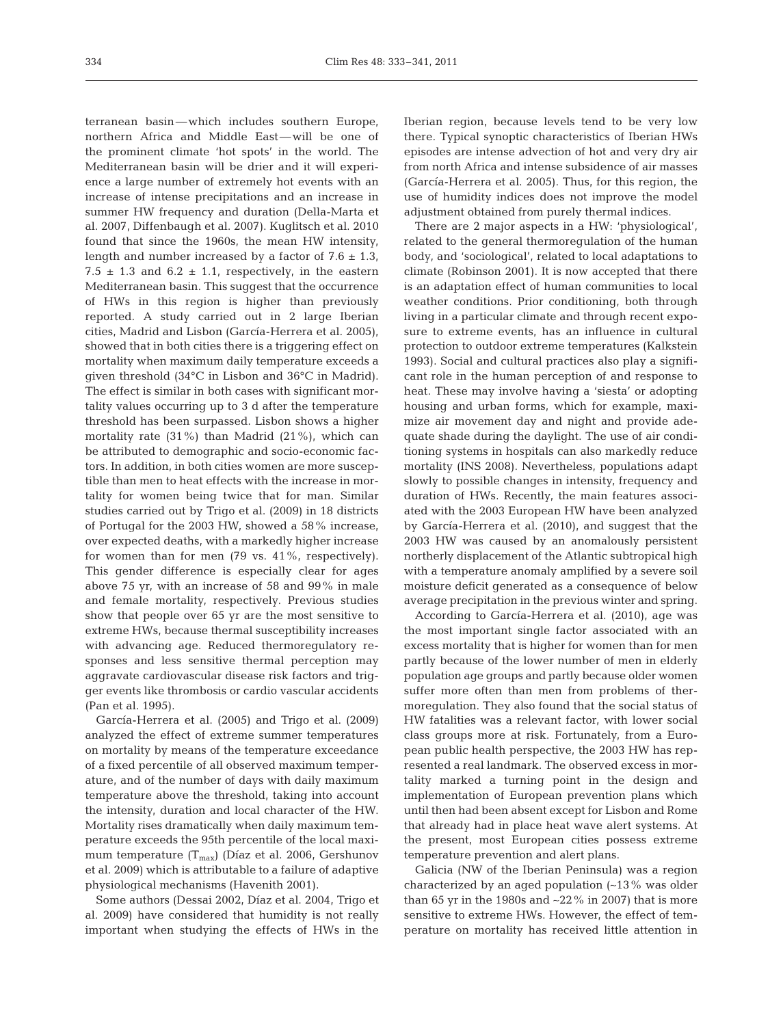terranean basin—which includes southern Europe, northern Africa and Middle East—will be one of the prominent climate 'hot spots' in the world. The Mediterranean basin will be drier and it will experience a large number of extremely hot events with an increase of intense precipitations and an increase in summer HW frequency and duration (Della-Marta et al. 2007, Diffenbaugh et al. 2007). Kuglitsch et al. 2010 found that since the 1960s, the mean HW intensity, length and number increased by a factor of  $7.6 \pm 1.3$ , 7.5  $\pm$  1.3 and 6.2  $\pm$  1.1, respectively, in the eastern Mediterranean basin. This suggest that the occurrence of HWs in this region is higher than previously reported. A study carried out in 2 large Iberian cities, Madrid and Lisbon (García-Herrera et al. 2005), showed that in both cities there is a triggering effect on mortality when maximum daily temperature exceeds a given threshold (34°C in Lisbon and 36°C in Madrid). The effect is similar in both cases with significant mortality values occurring up to 3 d after the temperature threshold has been surpassed. Lisbon shows a higher mortality rate (31%) than Madrid (21%), which can be attributed to demographic and socio-economic factors. In addition, in both cities women are more susceptible than men to heat effects with the increase in mortality for women being twice that for man. Similar studies carried out by Trigo et al. (2009) in 18 districts of Portugal for the 2003 HW, showed a 58% increase, over expected deaths, with a markedly higher increase for women than for men (79 vs. 41%, respectively). This gender difference is especially clear for ages above 75 yr, with an increase of 58 and 99% in male and female mortality, respectively. Previous studies show that people over 65 yr are the most sensitive to extreme HWs, because thermal susceptibility increases with advancing age. Reduced thermoregulatory responses and less sensitive thermal perception may aggravate cardiovascular disease risk factors and trigger events like thrombosis or cardio vascular accidents (Pan et al. 1995).

García-Herrera et al. (2005) and Trigo et al. (2009) analyzed the effect of extreme summer temperatures on mortality by means of the temperature exceedance of a fixed percentile of all observed maximum temperature, and of the number of days with daily maximum temperature above the threshold, taking into account the intensity, duration and local character of the HW. Mortality rises dramatically when daily maximum temperature exceeds the 95th percentile of the local maximum temperature  $(T_{max})$  (Díaz et al. 2006, Gershunov et al. 2009) which is attributable to a failure of adaptive physiological mechanisms (Havenith 2001).

Some authors (Dessai 2002, Díaz et al. 2004, Trigo et al. 2009) have considered that humidity is not really important when studying the effects of HWs in the

Iberian region, because levels tend to be very low there. Typical synoptic characteristics of Iberian HWs episodes are intense advection of hot and very dry air from north Africa and intense subsidence of air masses (García-Herrera et al. 2005). Thus, for this region, the use of humidity indices does not improve the model adjustment obtained from purely thermal indices.

There are 2 major aspects in a HW: 'physiological', related to the general thermoregulation of the human body, and 'sociological', related to local adaptations to climate (Robinson 2001). It is now accepted that there is an adaptation effect of human communities to local weather conditions. Prior conditioning, both through living in a particular climate and through recent exposure to extreme events, has an influence in cultural protection to outdoor extreme temperatures (Kalkstein 1993). Social and cultural practices also play a significant role in the human perception of and response to heat. These may involve having a 'siesta' or adopting housing and urban forms, which for example, maximize air movement day and night and provide adequate shade during the daylight. The use of air conditioning systems in hospitals can also markedly reduce mortality (INS 2008). Nevertheless, populations adapt slowly to possible changes in intensity, frequency and duration of HWs. Recently, the main features associated with the 2003 European HW have been analyzed by García-Herrera et al. (2010), and suggest that the 2003 HW was caused by an anomalously persistent northerly displacement of the Atlantic subtropical high with a temperature anomaly amplified by a severe soil moisture deficit generated as a consequence of below average precipitation in the previous winter and spring.

According to García-Herrera et al. (2010), age was the most important single factor associated with an excess mortality that is higher for women than for men partly because of the lower number of men in elderly population age groups and partly because older women suffer more often than men from problems of thermoregulation. They also found that the social status of HW fatalities was a relevant factor, with lower social class groups more at risk. Fortunately, from a European public health perspective, the 2003 HW has represented a real landmark. The observed excess in mortality marked a turning point in the design and implementation of European prevention plans which until then had been absent except for Lisbon and Rome that already had in place heat wave alert systems. At the present, most European cities possess extreme temperature prevention and alert plans.

Galicia (NW of the Iberian Peninsula) was a region characterized by an aged population (∼13% was older than 65 yr in the 1980s and ∼22% in 2007) that is more sensitive to extreme HWs. However, the effect of temperature on mortality has received little attention in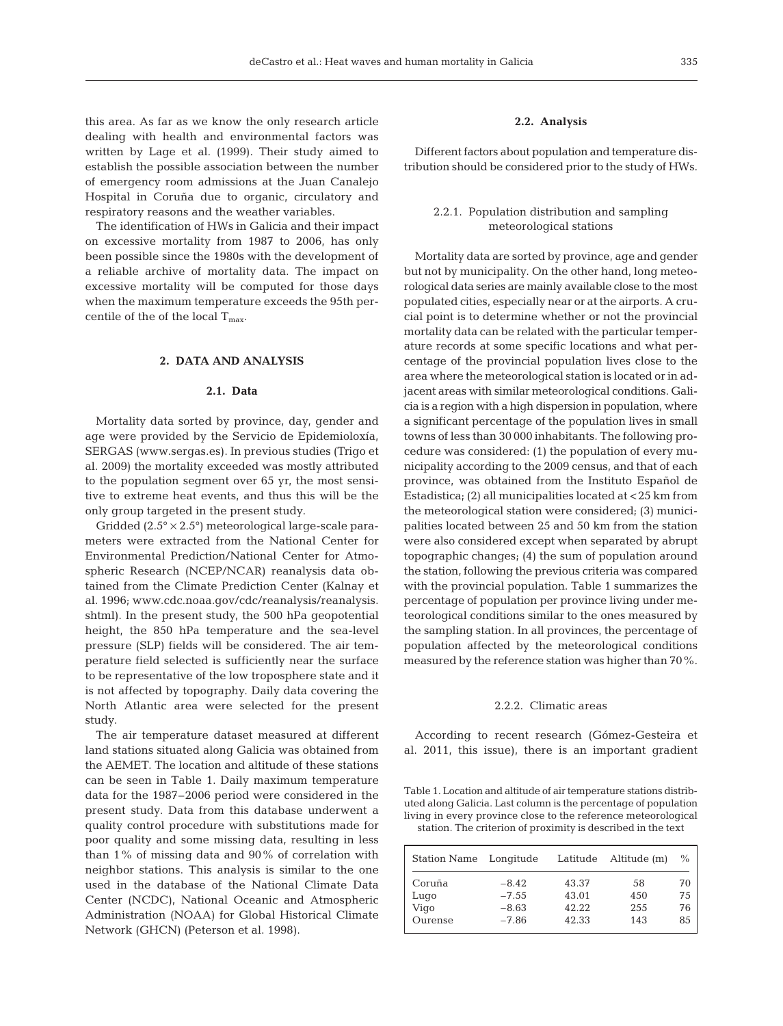this area. As far as we know the only research article dealing with health and environmental factors was written by Lage et al. (1999). Their study aimed to establish the possible association between the number of emergency room admissions at the Juan Canalejo Hospital in Coruña due to organic, circulatory and respiratory reasons and the weather variables.

The identification of HWs in Galicia and their impact on excessive mortality from 1987 to 2006, has only been possible since the 1980s with the development of a reliable archive of mortality data. The impact on excessive mortality will be computed for those days when the maximum temperature exceeds the 95th percentile of the of the local  $T_{\text{max}}$ .

## **2. DATA AND ANALYSIS**

## **2.1. Data**

Mortality data sorted by province, day, gender and age were provided by the Servicio de Epidemioloxía, SERGAS (www.sergas.es). In previous studies (Trigo et al. 2009) the mortality exceeded was mostly attributed to the population segment over 65 yr, the most sensitive to extreme heat events, and thus this will be the only group targeted in the present study.

Gridded  $(2.5^\circ \times 2.5^\circ)$  meteorological large-scale parameters were extracted from the National Center for Environmental Prediction/National Center for Atmospheric Research (NCEP/NCAR) reanalysis data ob tained from the Climate Prediction Center (Kalnay et al. 1996; www.cdc.noaa.gov/cdc/reanalysis/reanalysis. shtml). In the present study, the 500 hPa geopotential height, the 850 hPa temperature and the sea-level pressure (SLP) fields will be considered. The air temperature field selected is sufficiently near the surface to be representative of the low troposphere state and it is not affected by topography. Daily data covering the North Atlantic area were selected for the present study.

The air temperature dataset measured at different land stations situated along Galicia was obtained from the AEMET. The location and altitude of these stations can be seen in Table 1. Daily maximum temperature data for the 1987–2006 period were considered in the present study. Data from this database underwent a quality control procedure with substitutions made for poor quality and some missing data, resulting in less than 1% of missing data and 90% of correlation with neighbor stations. This analysis is similar to the one used in the database of the National Climate Data Center (NCDC), National Oceanic and Atmospheric Administration (NOAA) for Global Historical Climate Network (GHCN) (Peterson et al. 1998).

# **2.2. Analysis**

Different factors about population and temperature distribution should be considered prior to the study of HWs.

# 2.2.1. Population distribution and sampling meteorological stations

Mortality data are sorted by province, age and gender but not by municipality. On the other hand, long meteorological data series are mainly available close to the most populated cities, especially near or at the airports. A crucial point is to determine whether or not the provincial mortality data can be related with the particular temperature records at some specific locations and what percentage of the provincial population lives close to the area where the meteorological station is located or in adjacent areas with similar meteorological conditions. Galicia is a region with a high dispersion in population, where a significant percentage of the population lives in small towns of less than 30 000 inhabitants. The following procedure was considered: (1) the population of every municipality according to the 2009 census, and that of each province, was obtained from the Instituto Español de Estadistica; (2) all municipalities located at <25 km from the meteorological station were considered; (3) municipalities located between 25 and 50 km from the station were also considered except when separated by abrupt topographic changes; (4) the sum of population around the station, following the previous criteria was compared with the provincial population. Table 1 summarizes the percentage of population per province living under meteorological conditions similar to the ones measured by the sampling station. In all provinces, the percentage of population affected by the meteorological conditions measured by the reference station was higher than 70%.

## 2.2.2. Climatic areas

According to recent research (Gómez-Gesteira et al. 2011, this issue), there is an important gradient

Table 1. Location and altitude of air temperature stations distributed along Galicia. Last column is the percentage of population living in every province close to the reference meteorological station. The criterion of proximity is described in the text

| Station Name           | Longitude                     | Latitude                | Altitude (m)     | $\%$           |
|------------------------|-------------------------------|-------------------------|------------------|----------------|
| Coruña<br>Lugo<br>Vigo | $-8.42$<br>$-7.55$<br>$-8.63$ | 43.37<br>43.01<br>42.22 | 58<br>450<br>255 | 70<br>75<br>76 |
| Ourense                | $-7.86$                       | 42.33                   | 143              | 85             |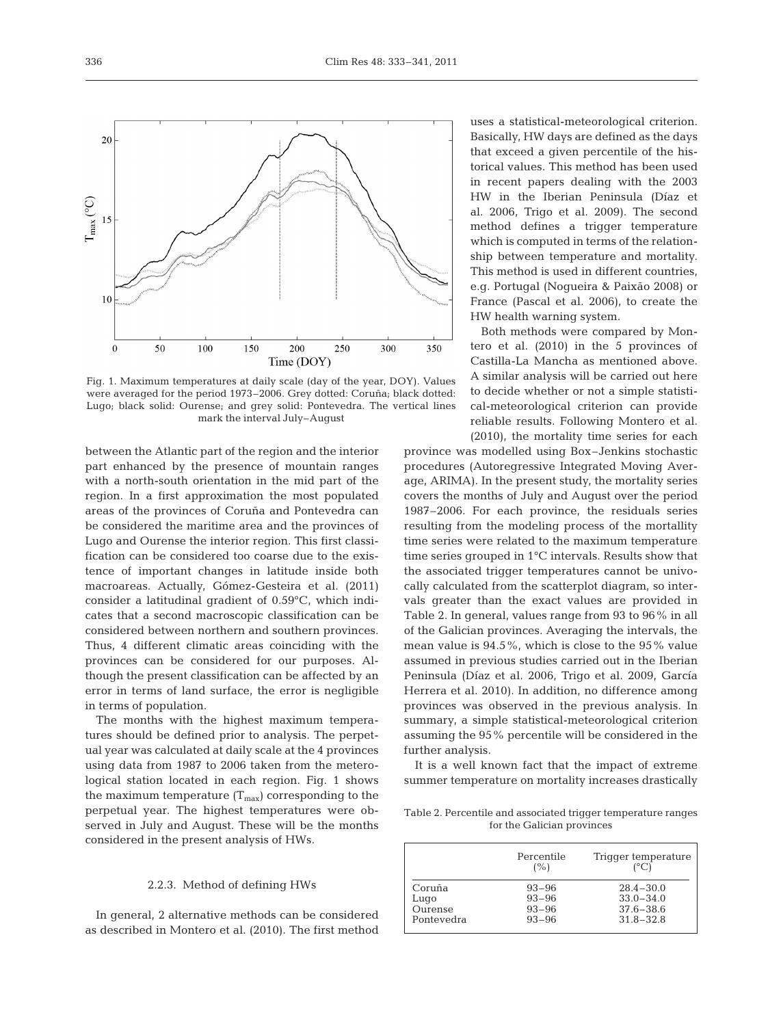

Fig. 1. Maximum temperatures at daily scale (day of the year, DOY). Values were averaged for the period 1973–2006. Grey dotted: Coruña; black dotted: Lugo; black solid: Ourense; and grey solid: Pontevedra. The vertical lines mark the interval July–August

between the Atlantic part of the region and the interior part enhanced by the presence of mountain ranges with a north-south orientation in the mid part of the region. In a first approximation the most populated areas of the provinces of Coruña and Pontevedra can be considered the maritime area and the provinces of Lugo and Ourense the interior region. This first classification can be considered too coarse due to the existence of important changes in latitude inside both macroareas. Actually, Gómez-Gesteira et al. (2011) consider a latitudinal gradient of 0.59°C, which indicates that a second macroscopic classification can be considered between northern and southern provinces. Thus, 4 different climatic areas coinciding with the provinces can be considered for our purposes. Although the present classification can be affected by an error in terms of land surface, the error is negligible in terms of population.

The months with the highest maximum temperatures should be defined prior to analysis. The perpetual year was calculated at daily scale at the 4 provinces using data from 1987 to 2006 taken from the meterological station located in each region. Fig. 1 shows the maximum temperature  $(T_{\text{max}})$  corresponding to the perpetual year. The highest temperatures were observed in July and August. These will be the months considered in the present analysis of HWs.

#### 2.2.3. Method of defining HWs

In general, 2 alternative methods can be considered as described in Montero et al. (2010). The first method uses a statistical-meteorological criterion. Basically, HW days are defined as the days that exceed a given percentile of the historical values. This method has been used in recent papers dealing with the 2003 HW in the Iberian Peninsula (Díaz et al. 2006, Trigo et al. 2009). The second method defines a trigger temperature which is computed in terms of the relationship between temperature and mortality. This method is used in different countries, e.g. Portugal (Nogueira & Paixão 2008) or France (Pascal et al. 2006), to create the HW health warning system.

Both methods were compared by Montero et al. (2010) in the 5 provinces of Castilla-La Mancha as mentioned above. A similar analysis will be carried out here to decide whether or not a simple statistical-meteorological criterion can provide reliable results. Following Montero et al. (2010), the mortality time series for each

province was modelled using Box– Jenkins stochastic procedures (Autoregressive Integrated Moving Average, ARIMA). In the present study, the mortality series covers the months of July and August over the period 1987–2006. For each province, the residuals series resulting from the modeling process of the mortallity time series were related to the maximum temperature time series grouped in 1°C intervals. Results show that the associated trigger temperatures cannot be univocally calculated from the scatterplot diagram, so intervals greater than the exact values are provided in Table 2. In general, values range from 93 to 96% in all of the Galician provinces. Averaging the intervals, the mean value is 94.5%, which is close to the 95% value assumed in previous studies carried out in the Iberian Peninsula (Díaz et al. 2006, Trigo et al. 2009, García Herrera et al. 2010). In addition, no difference among provinces was observed in the previous analysis. In summary, a simple statistical-meteorological criterion assuming the 95% percentile will be considered in the further analysis.

It is a well known fact that the impact of extreme summer temperature on mortality increases drastically

Table 2. Percentile and associated trigger temperature ranges for the Galician provinces

|            | Percentile<br>(% ) | Trigger temperature<br>$(^{\circ}C)$ |  |  |
|------------|--------------------|--------------------------------------|--|--|
| Coruña     | $93 - 96$          | $28.4 - 30.0$                        |  |  |
| Lugo       | $93 - 96$          | $33.0 - 34.0$                        |  |  |
| Ourense    | $93 - 96$          | $37.6 - 38.6$                        |  |  |
| Pontevedra | $93 - 96$          | $31.8 - 32.8$                        |  |  |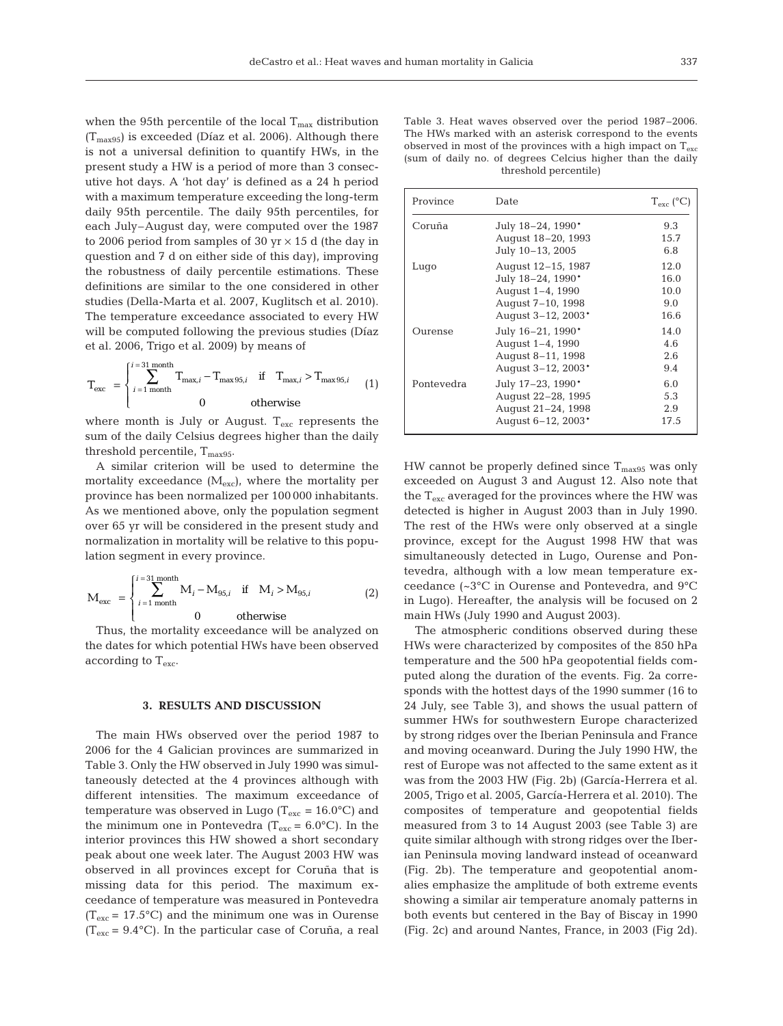when the 95th percentile of the local  $T_{\text{max}}$  distribution  $(T_{\text{max95}})$  is exceeded (Díaz et al. 2006). Although there is not a universal definition to quantify HWs, in the present study a HW is a period of more than 3 consecutive hot days. A 'hot day' is defined as a 24 h period with a maximum temperature exceeding the long-term daily 95th percentile. The daily 95th percentiles, for each July–August day, were computed over the 1987 to 2006 period from samples of 30 yr  $\times$  15 d (the day in question and 7 d on either side of this day), improving the robustness of daily percentile estimations. These definitions are similar to the one considered in other studies (Della-Marta et al. 2007, Kuglitsch et al. 2010). The temperature exceedance associated to every HW will be computed following the previous studies (Díaz et al. 2006, Trigo et al. 2009) by means of

$$
\mathbf{T}_{\text{exc}} = \begin{cases} i = 31 \text{ month} \\ i = 1 \text{ month} \\ 0 \end{cases} \quad \text{T}_{\text{max}, i} - \mathbf{T}_{\text{max}, 95, i} \quad \text{if} \quad \mathbf{T}_{\text{max}, i} > \mathbf{T}_{\text{max}, 95, i} \tag{1}
$$

where month is July or August.  $T_{\text{exc}}$  represents the sum of the daily Celsius degrees higher than the daily threshold percentile,  $T_{max95}$ .

A similar criterion will be used to determine the mortality exceedance  $(M_{\text{exc}})$ , where the mortality per province has been normalized per 100 000 inhabitants. As we mentioned above, only the population segment over 65 yr will be considered in the present study and normalization in mortality will be relative to this population segment in every province.

$$
M_{\rm exc} = \begin{cases} i^{-31 \, \text{month}} & \text{if } M_i > M_{95,i} \\ i^{-1 \, \text{month}} & 0 & \text{otherwise} \end{cases}
$$
 (2)

Thus, the mortality exceedance will be analyzed on the dates for which potential HWs have been observed according to Texc.

## **3. RESULTS AND DISCUSSION**

The main HWs observed over the period 1987 to 2006 for the 4 Galician provinces are summarized in Table 3. Only the HW observed in July 1990 was simultaneously detected at the 4 provinces although with different intensities. The maximum exceedance of temperature was observed in Lugo ( $T_{\rm exc}$  = 16.0°C) and the minimum one in Pontevedra ( $T_{\rm exc}$  = 6.0°C). In the interior provinces this HW showed a short secondary peak about one week later. The August 2003 HW was observed in all provinces except for Coruña that is missing data for this period. The maximum exceedance of temperature was measured in Pontevedra  $(T_{\text{exc}} = 17.5^{\circ}\text{C})$  and the minimum one was in Ourense  $(T_{\rm exc} = 9.4\text{°C})$ . In the particular case of Coruña, a real

| Table 3. Heat waves observed over the period 1987–2006.                 |
|-------------------------------------------------------------------------|
| The HWs marked with an asterisk correspond to the events                |
| observed in most of the provinces with a high impact on $T_{\text{av}}$ |
| (sum of daily no. of degrees Celcius higher than the daily              |
| threshold percentile)                                                   |

| Province   | Date                                                                                                   | $T_{\rm exc}$ (°C)                  |
|------------|--------------------------------------------------------------------------------------------------------|-------------------------------------|
| Coruña     | July 18-24, 1990*<br>August 18–20, 1993<br>July 10-13, 2005                                            | 9.3<br>15.7<br>6.8                  |
| Lugo       | August 12–15, 1987<br>July 18-24, 1990*<br>August 1-4, 1990<br>August 7-10, 1998<br>August 3-12, 2003* | 12.0<br>16.0<br>10.0<br>9.0<br>16.6 |
| Ourense    | July 16-21, 1990*<br>August 1-4, 1990<br>August 8–11, 1998<br>August 3-12, 2003*                       | 14.0<br>4.6<br>2.6<br>9.4           |
| Pontevedra | July 17-23, 1990*<br>August 22–28, 1995<br>August 21-24, 1998<br>August 6-12, 2003*                    | 6.0<br>5.3<br>2.9<br>17.5           |

HW cannot be properly defined since  $T_{\text{max95}}$  was only exceeded on August 3 and August 12. Also note that the  $T_{\text{exc}}$  averaged for the provinces where the HW was detected is higher in August 2003 than in July 1990. The rest of the HWs were only observed at a single province, except for the August 1998 HW that was simultaneously detected in Lugo, Ourense and Pontevedra, although with a low mean temperature exceedance (~3°C in Ourense and Pontevedra, and 9°C in Lugo). Hereafter, the analysis will be focused on 2 main HWs (July 1990 and August 2003).

The atmospheric conditions observed during these HWs were characterized by composites of the 850 hPa temperature and the 500 hPa geopotential fields computed along the duration of the events. Fig. 2a corresponds with the hottest days of the 1990 summer (16 to 24 July, see Table 3), and shows the usual pattern of summer HWs for southwestern Europe characterized by strong ridges over the Iberian Peninsula and France and moving oceanward. During the July 1990 HW, the rest of Europe was not affected to the same extent as it was from the 2003 HW (Fig. 2b) (García-Herrera et al. 2005, Trigo et al. 2005, García-Herrera et al. 2010). The composites of temperature and geopotential fields measured from 3 to 14 August 2003 (see Table 3) are quite similar although with strong ridges over the Iberian Peninsula moving landward instead of oceanward (Fig. 2b). The temperature and geopotential anomalies emphasize the amplitude of both extreme events showing a similar air temperature anomaly patterns in both events but centered in the Bay of Biscay in 1990 (Fig. 2c) and around Nantes, France, in 2003 (Fig 2d).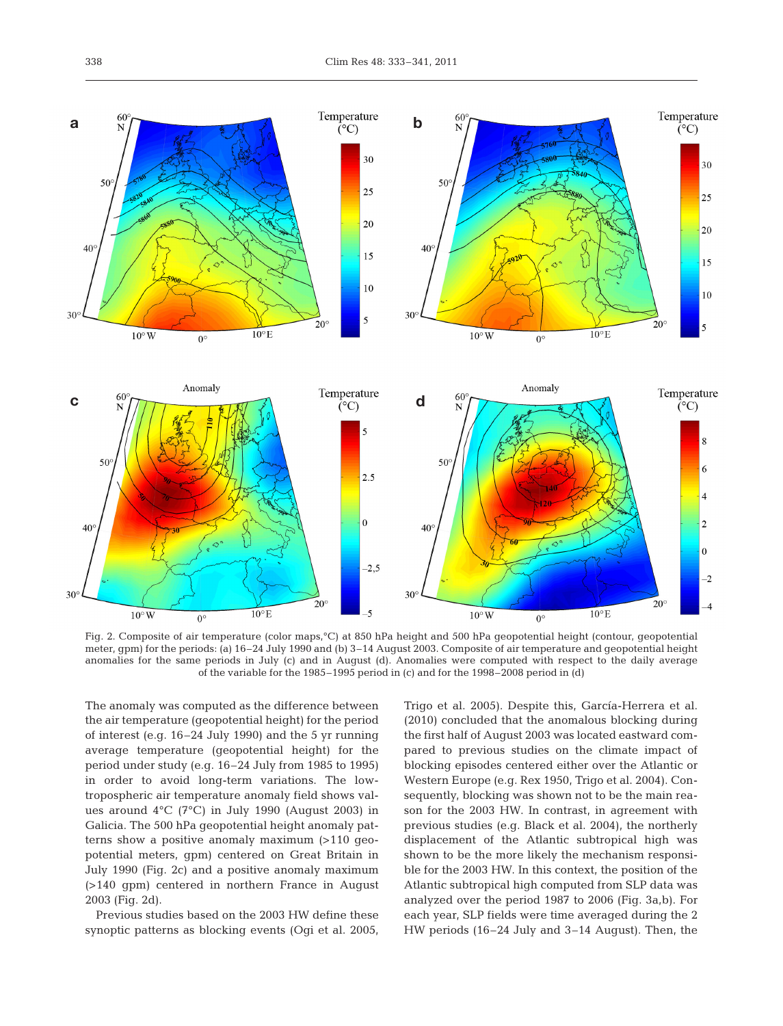

Fig. 2. Composite of air temperature (color maps,°C) at 850 hPa height and 500 hPa geopotential height (contour, geopotential meter, gpm) for the periods: (a) 16–24 July 1990 and (b) 3–14 August 2003. Composite of air temperature and geopotential height anomalies for the same periods in July (c) and in August (d). Anomalies were computed with respect to the daily average of the variable for the 1985–1995 period in (c) and for the 1998–2008 period in (d)

The anomaly was computed as the difference between the air temperature (geopotential height) for the period of interest (e.g. 16–24 July 1990) and the 5 yr running average temperature (geopotential height) for the period under study (e.g. 16–24 July from 1985 to 1995) in order to avoid long-term variations. The lowtropospheric air temperature anomaly field shows values around 4°C (7°C) in July 1990 (August 2003) in Galicia. The 500 hPa geopotential height anomaly patterns show a positive anomaly maximum (>110 geo potential meters, gpm) centered on Great Britain in July 1990 (Fig. 2c) and a positive anomaly maximum (>140 gpm) centered in northern France in August 2003 (Fig. 2d).

Previous studies based on the 2003 HW define these synoptic patterns as blocking events (Ogi et al. 2005, Trigo et al. 2005). Despite this, García-Herrera et al. (2010) concluded that the anomalous blocking during the first half of August 2003 was located eastward compared to previous studies on the climate impact of blocking episodes centered either over the Atlantic or Western Europe (e.g. Rex 1950, Trigo et al. 2004). Consequently, blocking was shown not to be the main reason for the 2003 HW. In contrast, in agreement with previous studies (e.g. Black et al. 2004), the northerly displacement of the Atlantic subtropical high was shown to be the more likely the mechanism responsible for the 2003 HW. In this context, the position of the Atlantic subtropical high computed from SLP data was analyzed over the period 1987 to 2006 (Fig. 3a,b). For each year, SLP fields were time averaged during the 2 HW periods (16–24 July and 3–14 August). Then, the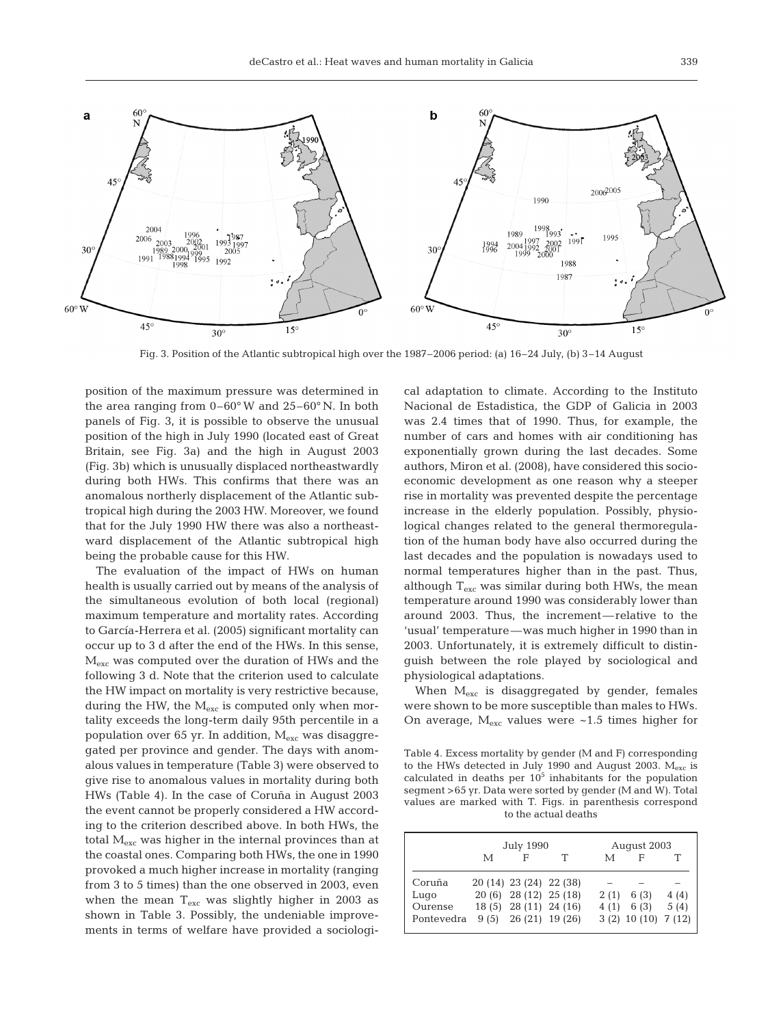

Fig. 3. Position of the Atlantic subtropical high over the 1987–2006 period: (a) 16–24 July, (b) 3–14 August

position of the maximum pressure was determined in the area ranging from 0–60° W and 25–60° N. In both panels of Fig. 3, it is possible to observe the unusual position of the high in July 1990 (located east of Great Britain, see Fig. 3a) and the high in August 2003 (Fig. 3b) which is unusually displaced northeastwardly during both HWs. This confirms that there was an anomalous northerly displacement of the Atlantic subtropical high during the 2003 HW. Moreover, we found that for the July 1990 HW there was also a northeastward displacement of the Atlantic subtropical high being the probable cause for this HW.

The evaluation of the impact of HWs on human health is usually carried out by means of the analysis of the simultaneous evolution of both local (regional) maximum temperature and mortality rates. According to García-Herrera et al. (2005) significant mortality can occur up to 3 d after the end of the HWs. In this sense, Mexc was computed over the duration of HWs and the following 3 d. Note that the criterion used to calculate the HW impact on mortality is very restrictive because, during the HW, the  $M_{\text{exc}}$  is computed only when mortality exceeds the long-term daily 95th percentile in a population over 65 yr. In addition, M<sub>exc</sub> was disaggregated per province and gender. The days with anomalous values in temperature (Table 3) were observed to give rise to anomalous values in mortality during both HWs (Table 4). In the case of Coruña in August 2003 the event cannot be properly considered a HW according to the criterion described above. In both HWs, the total  $M_{\text{exc}}$  was higher in the internal provinces than at the coastal ones. Comparing both HWs, the one in 1990 provoked a much higher increase in mortality (ranging from 3 to 5 times) than the one observed in 2003, even when the mean  $T_{\text{exc}}$  was slightly higher in 2003 as shown in Table 3. Possibly, the undeniable improvements in terms of welfare have provided a sociological adaptation to climate. According to the Instituto Nacional de Estadistica, the GDP of Galicia in 2003 was 2.4 times that of 1990. Thus, for example, the number of cars and homes with air conditioning has exponentially grown during the last decades. Some authors, Miron et al. (2008), have considered this socioeconomic development as one reason why a steeper rise in mortality was prevented despite the percentage increase in the elderly population. Possibly, physiological changes related to the general thermoregulation of the human body have also occurred during the last decades and the population is nowadays used to normal temperatures higher than in the past. Thus, although  $T_{\text{exc}}$  was similar during both HWs, the mean temperature around 1990 was considerably lower than around 2003. Thus, the increment— relative to the 'usual' temperature—was much higher in 1990 than in 2003. Unfortunately, it is extremely difficult to distinguish between the role played by sociological and physiological adaptations.

When  $M_{exc}$  is disaggregated by gender, females were shown to be more susceptible than males to HWs. On average,  $M_{\text{exc}}$  values were ~1.5 times higher for

Table 4. Excess mortality by gender (M and F) corresponding to the HWs detected in July 1990 and August 2003. Mexc is calculated in deaths per  $10^5$  inhabitants for the population segment >65 yr. Data were sorted by gender (M and W). Total values are marked with T. Figs. in parenthesis correspond to the actual deaths

|            | <b>July 1990</b> |                          |  | August 2003 |                   |       |
|------------|------------------|--------------------------|--|-------------|-------------------|-------|
|            | М                | F                        |  | М           | F                 |       |
| Coruña     |                  | 20 (14) 23 (24) 22 (38)  |  |             |                   |       |
| Lugo       |                  | 20 (6) 28 (12) 25 (18)   |  | 2(1)        | 6 (3)             | 4 (4) |
| Ourense    |                  | 18 (5) 28 (11) 24 (16)   |  | 4(1)        | 6(3)              | 5(4)  |
| Pontevedra |                  | $9(5)$ $26(21)$ $19(26)$ |  |             | 3(2) 10(10) 7(12) |       |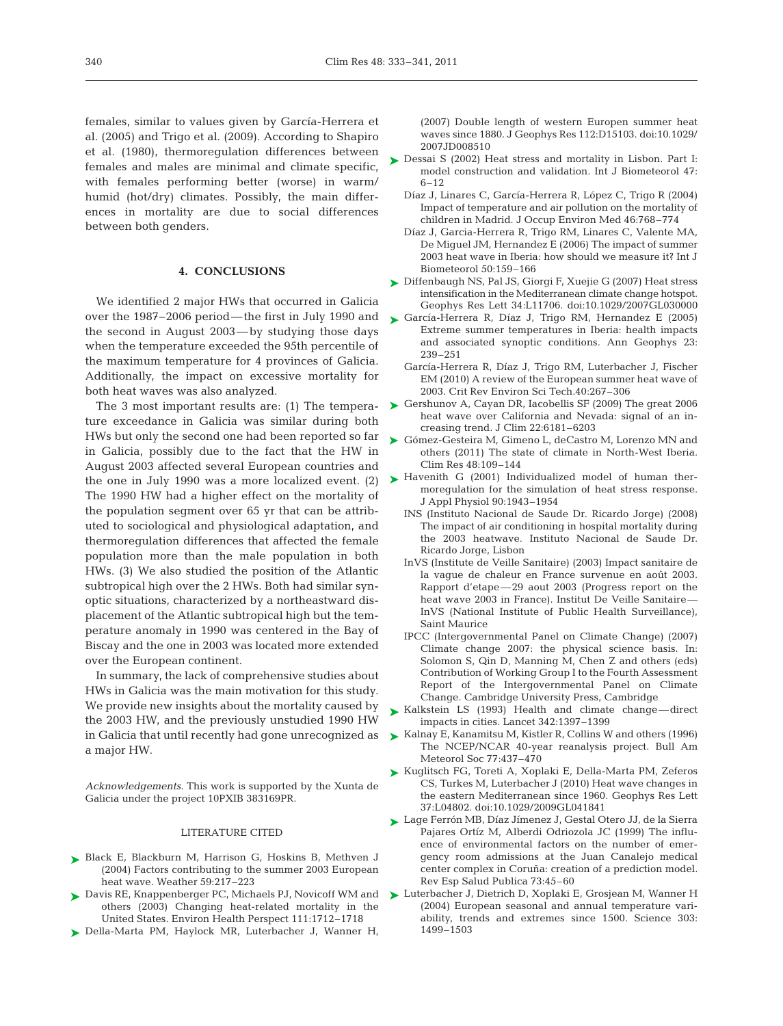females, similar to values given by García-Herrera et al. (2005) and Trigo et al. (2009). According to Shapiro et al. (1980), thermoregulation differences between females and males are minimal and climate specific, with females performing better (worse) in warm/ humid (hot/dry) climates. Possibly, the main differences in mortality are due to social differences between both genders.

# **4. CONCLUSIONS**

We identified 2 major HWs that occurred in Galicia over the 1987–2006 period— the first in July 1990 and the second in August 2003—by studying those days when the temperature exceeded the 95th percentile of the maximum temperature for 4 provinces of Galicia. Additionally, the impact on excessive mortality for both heat waves was also analyzed.

The 3 most important results are: (1) The temperature exceedance in Galicia was similar during both HWs but only the second one had been reported so far in Galicia, possibly due to the fact that the HW in August 2003 affected several European countries and The 1990 HW had a higher effect on the mortality of the population segment over 65 yr that can be attributed to sociological and physiological adaptation, and thermoregulation differences that affected the female population more than the male population in both HWs. (3) We also studied the position of the Atlantic subtropical high over the 2 HWs. Both had similar synoptic situations, characterized by a northeastward displacement of the Atlantic subtropical high but the temperature anomaly in 1990 was centered in the Bay of Biscay and the one in 2003 was located more extended over the European continent.

In summary, the lack of comprehensive studies about HWs in Galicia was the main motivation for this study. We provide new insights about the mortality caused by the 2003 HW, and the previously unstudied 1990 HW a major HW.

*Acknowledgements.* This work is supported by the Xunta de Galicia under the project 10PXIB 383169PR.

#### LITERATURE CITED

- ▶ Black E, Blackburn M, Harrison G, Hoskins B, Methven J (2004) Factors contributing to the summer 2003 European heat wave. Weather 59:217–223
- ► Davis RE, Knappenberger PC, Michaels PJ, Novicoff WM and others (2003) Changing heat-related mortality in the United States. Environ Health Perspect 111:1712–1718
- Della-Marta PM, Haylock MR, Luterbacher J, Wanner H, ➤

(2007) Double length of western Europen summer heat waves since 1880. J Geophys Res 112:D15103. doi: 10.1029/ 2007JD008510

- ► Dessai S (2002) Heat stress and mortality in Lisbon. Part I: model construction and validation. Int J Biometeorol 47: 6–12
	- Díaz J, Linares C, García-Herrera R, López C, Trigo R (2004) Impact of temperature and air pollution on the mortality of children in Madrid. J Occup Environ Med 46:768–774
	- Díaz J, Garcia-Herrera R, Trigo RM, Linares C, Valente MA, De Miguel JM, Hernandez E (2006) The impact of summer 2003 heat wave in Iberia: how should we measure it? Int J Biometeorol 50:159–166
- ► Diffenbaugh NS, Pal JS, Giorgi F, Xuejie G (2007) Heat stress intensification in the Mediterranean climate change hotspot. Geophys Res Lett 34:L11706. doi:10.1029/2007GL030000
- García-Herrera R, Díaz J, Trigo RM, Hernandez E (2005) ➤ Extreme summer temperatures in Iberia: health impacts and associated synoptic conditions. Ann Geophys 23: 239–251
	- García-Herrera R, Díaz J, Trigo RM, Luterbacher J, Fischer EM (2010) A review of the European summer heat wave of 2003. Crit Rev Environ Sci Tech.40:267–306
- ► Gershunov A, Cayan DR, Iacobellis SF (2009) The great 2006 heat wave over California and Nevada: signal of an increasing trend. J Clim 22:6181–6203
- ▶ Gómez-Gesteira M, Gimeno L, deCastro M, Lorenzo MN and others (2011) The state of climate in North-West Iberia. Clim Res 48:109–144
- the one in July 1990 was a more localized event. (2)  $\blacktriangleright$  Havenith G (2001) Individualized model of human thermoregulation for the simulation of heat stress response. J Appl Physiol 90:1943–1954
	- INS (Instituto Nacional de Saude Dr. Ricardo Jorge) (2008) The impact of air conditioning in hospital mortality during the 2003 heatwave. Instituto Nacional de Saude Dr. Ricardo Jorge, Lisbon
	- InVS (Institute de Veille Sanitaire) (2003) Impact sanitaire de la vague de chaleur en France survenue en août 2003. Rapport d'etape— 29 aout 2003 (Progress report on the heat wave 2003 in France). Institut De Veille Sanitaire— InVS (National Institute of Public Health Surveillance), Saint Maurice
	- IPCC (Intergovernmental Panel on Climate Change) (2007) Climate change 2007: the physical science basis. In: Solomon S, Qin D, Manning M, Chen Z and others (eds) Contribution of Working Group I to the Fourth Assessment Report of the Intergovernmental Panel on Climate Change. Cambridge University Press, Cambridge
	- ► Kalkstein LS (1993) Health and climate change—direct impacts in cities. Lancet 342:1397–1399
- in Galicia that until recently had gone unrecognized as Kalnay E, Kanamitsu M, Kistler R, Collins W and others (1996) ➤ The NCEP/NCAR 40-year reanalysis project. Bull Am Meteorol Soc 77:437–470
	- ► Kuglitsch FG, Toreti A, Xoplaki E, Della-Marta PM, Zeferos CS, Turkes M, Luterbacher J (2010) Heat wave changes in the eastern Mediterranean since 1960. Geophys Res Lett 37:L04802. doi:10.1029/2009GL041841
	- Lage Ferrón MB, Díaz Jímenez J, Gestal Otero JJ, de la Sierra ➤ Pajares Ortíz M, Alberdi Odriozola JC (1999) The influence of environmental factors on the number of emergency room admissions at the Juan Canalejo medical center complex in Coruña: creation of a prediction model. Rev Esp Salud Publica 73:45–60
	- Luterbacher J, Dietrich D, Xoplaki E, Grosjean M, Wanner H ➤ (2004) European seasonal and annual temperature variability, trends and extremes since 1500. Science 303: 1499–1503